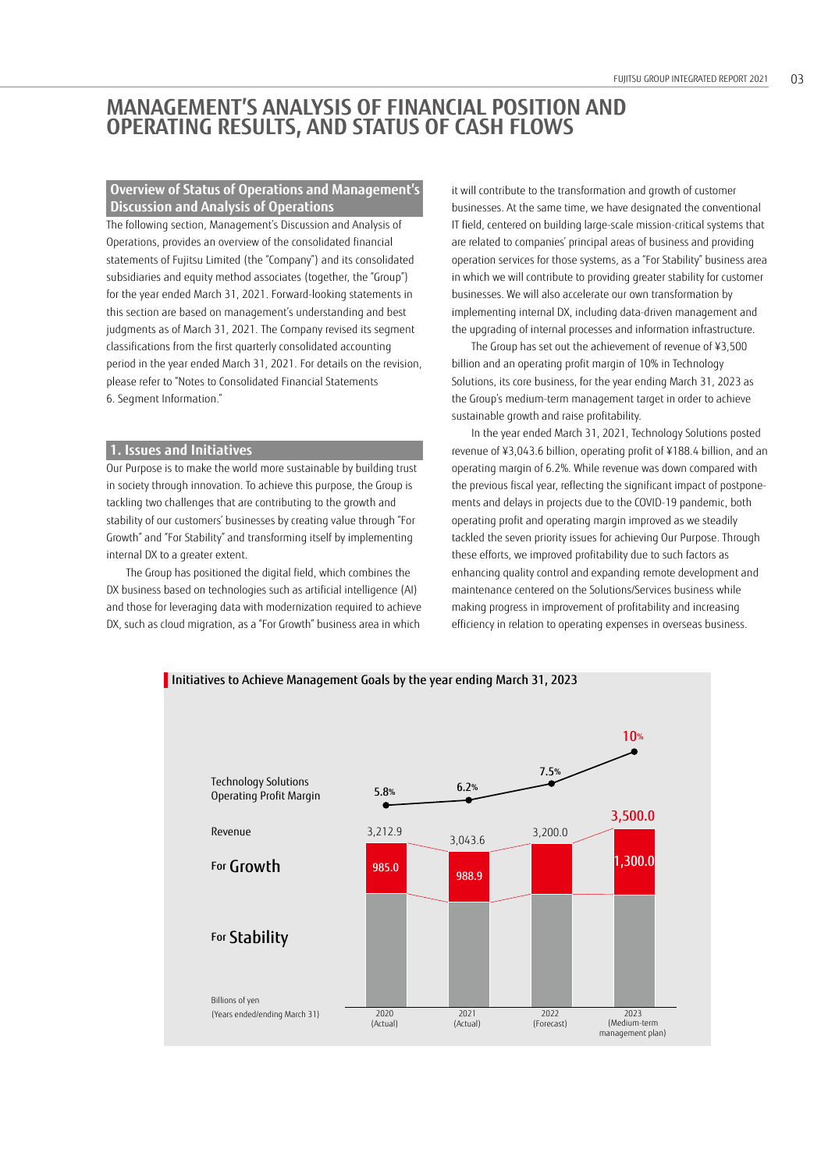# **MANAGEMENT'S ANALYSIS OF FINANCIAL POSITION AND OPERATING RESULTS, AND STATUS OF CASH FLOWS**

### **Overview of Status of Operations and Management's Discussion and Analysis of Operations**

The following section, Management's Discussion and Analysis of Operations, provides an overview of the consolidated financial statements of Fujitsu Limited (the "Company") and its consolidated subsidiaries and equity method associates (together, the "Group") for the year ended March 31, 2021. Forward-looking statements in this section are based on management's understanding and best judgments as of March 31, 2021. The Company revised its segment classifications from the first quarterly consolidated accounting period in the year ended March 31, 2021. For details on the revision, please refer to "Notes to Consolidated Financial Statements 6. Segment Information."

### **1. Issues and Initiatives**

Our Purpose is to make the world more sustainable by building trust in society through innovation. To achieve this purpose, the Group is tackling two challenges that are contributing to the growth and stability of our customers' businesses by creating value through "For Growth" and "For Stability" and transforming itself by implementing internal DX to a greater extent.

The Group has positioned the digital field, which combines the DX business based on technologies such as artificial intelligence (AI) and those for leveraging data with modernization required to achieve DX, such as cloud migration, as a "For Growth" business area in which

it will contribute to the transformation and growth of customer businesses. At the same time, we have designated the conventional IT field, centered on building large-scale mission-critical systems that are related to companies' principal areas of business and providing operation services for those systems, as a "For Stability" business area in which we will contribute to providing greater stability for customer businesses. We will also accelerate our own transformation by implementing internal DX, including data-driven management and the upgrading of internal processes and information infrastructure.

The Group has set out the achievement of revenue of ¥3,500 billion and an operating profit margin of 10% in Technology Solutions, its core business, for the year ending March 31, 2023 as the Group's medium-term management target in order to achieve sustainable growth and raise profitability.

In the year ended March 31, 2021, Technology Solutions posted revenue of ¥3,043.6 billion, operating profit of ¥188.4 billion, and an operating margin of 6.2%. While revenue was down compared with the previous fiscal year, reflecting the significant impact of postponements and delays in projects due to the COVID-19 pandemic, both operating profit and operating margin improved as we steadily tackled the seven priority issues for achieving Our Purpose. Through these efforts, we improved profitability due to such factors as enhancing quality control and expanding remote development and maintenance centered on the Solutions/Services business while making progress in improvement of profitability and increasing efficiency in relation to operating expenses in overseas business.

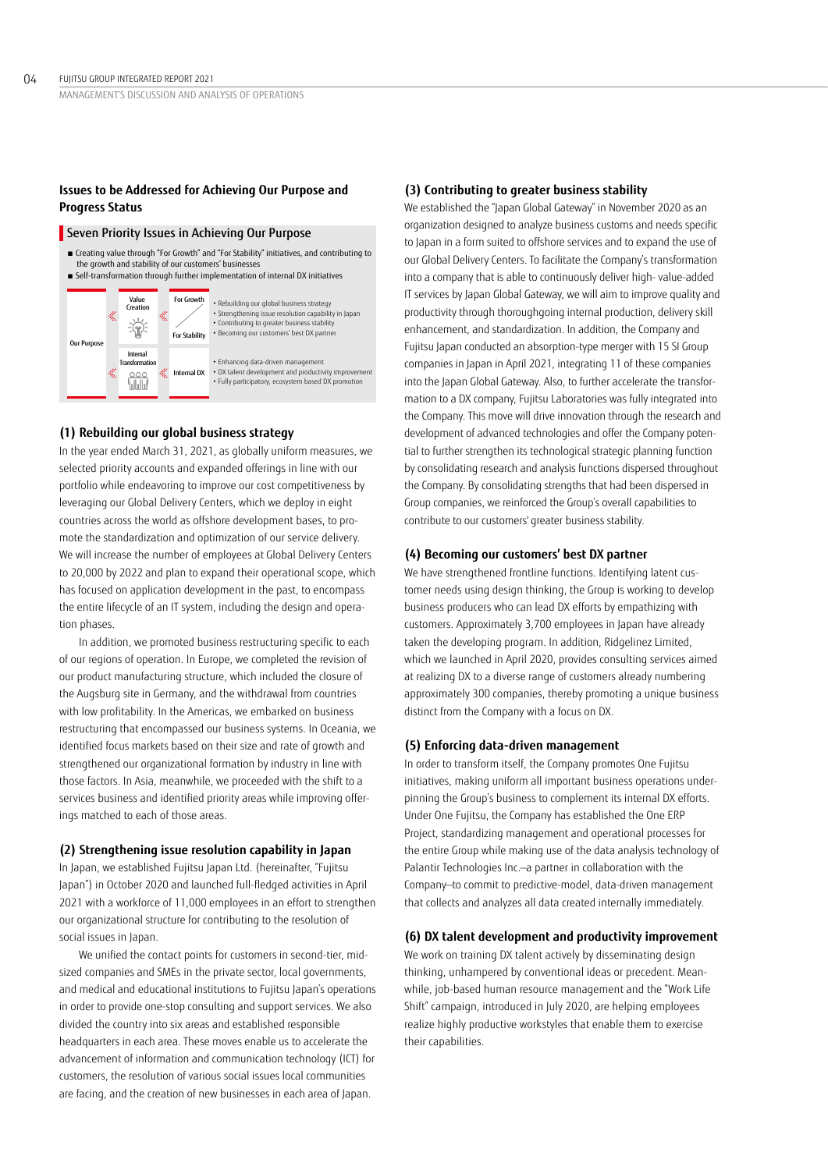### **Issues to be Addressed for Achieving Our Purpose and Progress Status**

#### Seven Priority Issues in Achieving Our Purpose



### **(1) Rebuilding our global business strategy**

In the year ended March 31, 2021, as globally uniform measures, we selected priority accounts and expanded offerings in line with our portfolio while endeavoring to improve our cost competitiveness by leveraging our Global Delivery Centers, which we deploy in eight countries across the world as offshore development bases, to promote the standardization and optimization of our service delivery. We will increase the number of employees at Global Delivery Centers to 20,000 by 2022 and plan to expand their operational scope, which has focused on application development in the past, to encompass the entire lifecycle of an IT system, including the design and operation phases.

In addition, we promoted business restructuring specific to each of our regions of operation. In Europe, we completed the revision of our product manufacturing structure, which included the closure of the Augsburg site in Germany, and the withdrawal from countries with low profitability. In the Americas, we embarked on business restructuring that encompassed our business systems. In Oceania, we identified focus markets based on their size and rate of growth and strengthened our organizational formation by industry in line with those factors. In Asia, meanwhile, we proceeded with the shift to a services business and identified priority areas while improving offerings matched to each of those areas.

#### **(2) Strengthening issue resolution capability in Japan**

In Japan, we established Fujitsu Japan Ltd. (hereinafter, "Fujitsu Japan") in October 2020 and launched full-fledged activities in April 2021 with a workforce of 11,000 employees in an effort to strengthen our organizational structure for contributing to the resolution of social issues in Japan.

We unified the contact points for customers in second-tier, midsized companies and SMEs in the private sector, local governments, and medical and educational institutions to Fujitsu Japan's operations in order to provide one-stop consulting and support services. We also divided the country into six areas and established responsible headquarters in each area. These moves enable us to accelerate the advancement of information and communication technology (ICT) for customers, the resolution of various social issues local communities are facing, and the creation of new businesses in each area of Japan.

#### **(3) Contributing to greater business stability**

We established the "Japan Global Gateway" in November 2020 as an organization designed to analyze business customs and needs specific to Japan in a form suited to offshore services and to expand the use of our Global Delivery Centers. To facilitate the Company's transformation into a company that is able to continuously deliver high- value-added IT services by Japan Global Gateway, we will aim to improve quality and productivity through thoroughgoing internal production, delivery skill enhancement, and standardization. In addition, the Company and Fujitsu Japan conducted an absorption-type merger with 15 SI Group companies in Japan in April 2021, integrating 11 of these companies into the Japan Global Gateway. Also, to further accelerate the transformation to a DX company, Fujitsu Laboratories was fully integrated into the Company. This move will drive innovation through the research and development of advanced technologies and offer the Company potential to further strengthen its technological strategic planning function by consolidating research and analysis functions dispersed throughout the Company. By consolidating strengths that had been dispersed in Group companies, we reinforced the Group's overall capabilities to contribute to our customers' greater business stability.

#### **(4) Becoming our customers' best DX partner**

We have strengthened frontline functions. Identifying latent customer needs using design thinking, the Group is working to develop business producers who can lead DX efforts by empathizing with customers. Approximately 3,700 employees in Japan have already taken the developing program. In addition, Ridgelinez Limited, which we launched in April 2020, provides consulting services aimed at realizing DX to a diverse range of customers already numbering approximately 300 companies, thereby promoting a unique business distinct from the Company with a focus on DX.

#### **(5) Enforcing data-driven management**

In order to transform itself, the Company promotes One Fujitsu initiatives, making uniform all important business operations underpinning the Group's business to complement its internal DX efforts. Under One Fujitsu, the Company has established the One ERP Project, standardizing management and operational processes for the entire Group while making use of the data analysis technology of Palantir Technologies Inc.—a partner in collaboration with the Company—to commit to predictive-model, data-driven management that collects and analyzes all data created internally immediately.

# **(6) DX talent development and productivity improvement**

We work on training DX talent actively by disseminating design thinking, unhampered by conventional ideas or precedent. Meanwhile, job-based human resource management and the "Work Life Shift" campaign, introduced in July 2020, are helping employees realize highly productive workstyles that enable them to exercise their capabilities.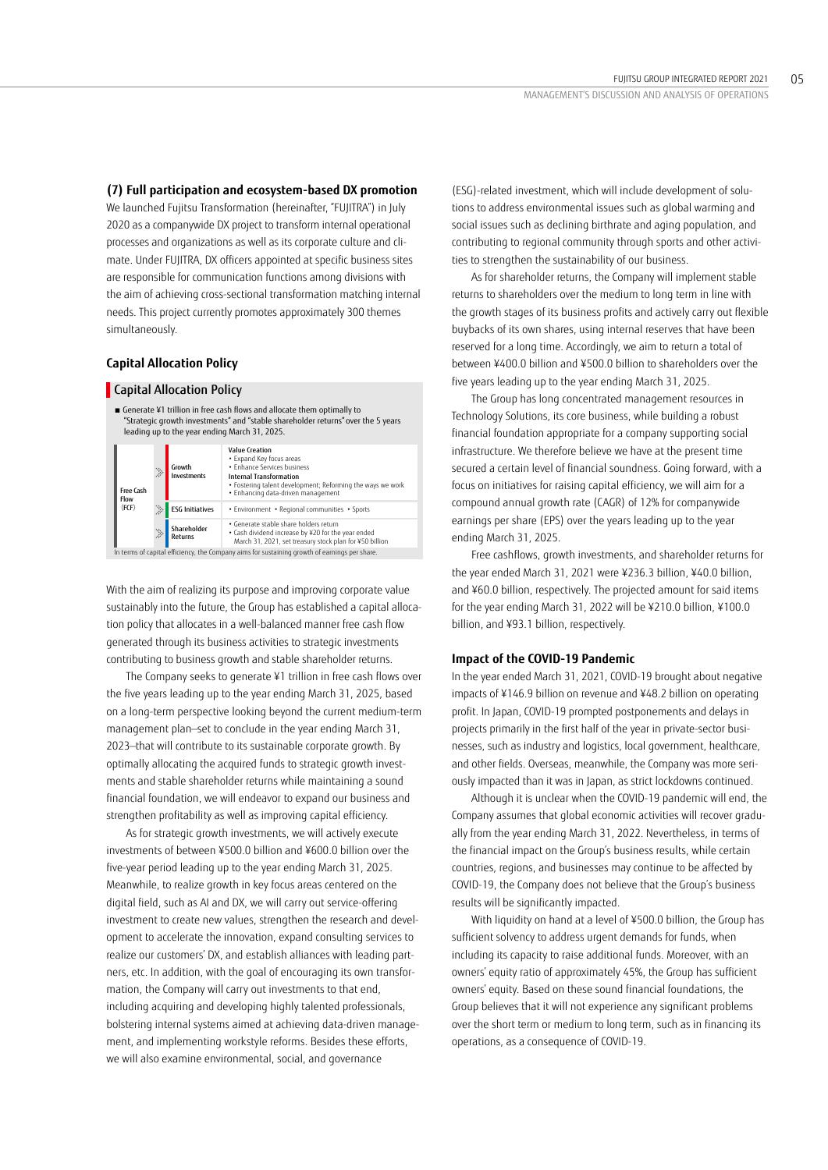#### **(7) Full participation and ecosystem-based DX promotion**

We launched Fujitsu Transformation (hereinafter, "FUJITRA") in July 2020 as a companywide DX project to transform internal operational processes and organizations as well as its corporate culture and climate. Under FUJITRA, DX officers appointed at specific business sites are responsible for communication functions among divisions with the aim of achieving cross-sectional transformation matching internal needs. This project currently promotes approximately 300 themes simultaneously.

### **Capital Allocation Policy**

#### **Capital Allocation Policy**

■ Generate ¥1 trillion in free cash flows and allocate them optimally to "Strategic growth investments" and "stable shareholder returns"over the 5 years leading up to the year ending March 31, 2025.

| Free Cash<br>Flow | $\gg$                              | Growth<br>Investments  | Value Creation<br>• Expand Key focus areas<br>· Enhance Services business<br>Internal Transformation<br>. Fostering talent development; Reforming the ways we work<br>· Enhancing data-driven management |
|-------------------|------------------------------------|------------------------|----------------------------------------------------------------------------------------------------------------------------------------------------------------------------------------------------------|
| (FCF)             | Þ.                                 | <b>ESG Initiatives</b> | • Environment • Regional communities • Sports                                                                                                                                                            |
|                   | Shareholder<br>Þ<br><b>Returns</b> |                        | · Generate stable share holders return<br>• Cash dividend increase by ¥20 for the year ended<br>March 31, 2021, set treasury stock plan for ¥50 billion                                                  |
|                   |                                    |                        | In terms of capital efficiency, the Company aims for sustaining growth of earnings per share.                                                                                                            |

With the aim of realizing its purpose and improving corporate value sustainably into the future, the Group has established a capital allocation policy that allocates in a well-balanced manner free cash flow generated through its business activities to strategic investments contributing to business growth and stable shareholder returns.

The Company seeks to generate ¥1 trillion in free cash flows over the five years leading up to the year ending March 31, 2025, based on a long-term perspective looking beyond the current medium-term management plan—set to conclude in the year ending March 31, 2023—that will contribute to its sustainable corporate growth. By optimally allocating the acquired funds to strategic growth investments and stable shareholder returns while maintaining a sound financial foundation, we will endeavor to expand our business and strengthen profitability as well as improving capital efficiency.

As for strategic growth investments, we will actively execute investments of between ¥500.0 billion and ¥600.0 billion over the five-year period leading up to the year ending March 31, 2025. Meanwhile, to realize growth in key focus areas centered on the digital field, such as AI and DX, we will carry out service-offering investment to create new values, strengthen the research and development to accelerate the innovation, expand consulting services to realize our customers' DX, and establish alliances with leading partners, etc. In addition, with the goal of encouraging its own transformation, the Company will carry out investments to that end, including acquiring and developing highly talented professionals, bolstering internal systems aimed at achieving data-driven management, and implementing workstyle reforms. Besides these efforts, we will also examine environmental, social, and governance

(ESG)-related investment, which will include development of solutions to address environmental issues such as global warming and social issues such as declining birthrate and aging population, and contributing to regional community through sports and other activities to strengthen the sustainability of our business.

As for shareholder returns, the Company will implement stable returns to shareholders over the medium to long term in line with the growth stages of its business profits and actively carry out flexible buybacks of its own shares, using internal reserves that have been reserved for a long time. Accordingly, we aim to return a total of between ¥400.0 billion and ¥500.0 billion to shareholders over the five years leading up to the year ending March 31, 2025.

The Group has long concentrated management resources in Technology Solutions, its core business, while building a robust financial foundation appropriate for a company supporting social infrastructure. We therefore believe we have at the present time secured a certain level of financial soundness. Going forward, with a focus on initiatives for raising capital efficiency, we will aim for a compound annual growth rate (CAGR) of 12% for companywide earnings per share (EPS) over the years leading up to the year ending March 31, 2025.

Free cashflows, growth investments, and shareholder returns for the year ended March 31, 2021 were ¥236.3 billion, ¥40.0 billion, and ¥60.0 billion, respectively. The projected amount for said items for the year ending March 31, 2022 will be ¥210.0 billion, ¥100.0 billion, and ¥93.1 billion, respectively.

#### **Impact of the COVID-19 Pandemic**

In the year ended March 31, 2021, COVID-19 brought about negative impacts of ¥146.9 billion on revenue and ¥48.2 billion on operating profit. In Japan, COVID-19 prompted postponements and delays in projects primarily in the first half of the year in private-sector businesses, such as industry and logistics, local government, healthcare, and other fields. Overseas, meanwhile, the Company was more seriously impacted than it was in Japan, as strict lockdowns continued.

Although it is unclear when the COVID-19 pandemic will end, the Company assumes that global economic activities will recover gradually from the year ending March 31, 2022. Nevertheless, in terms of the financial impact on the Group's business results, while certain countries, regions, and businesses may continue to be affected by COVID-19, the Company does not believe that the Group's business results will be significantly impacted.

With liquidity on hand at a level of ¥500.0 billion, the Group has sufficient solvency to address urgent demands for funds, when including its capacity to raise additional funds. Moreover, with an owners' equity ratio of approximately 45%, the Group has sufficient owners' equity. Based on these sound financial foundations, the Group believes that it will not experience any significant problems over the short term or medium to long term, such as in financing its operations, as a consequence of COVID-19.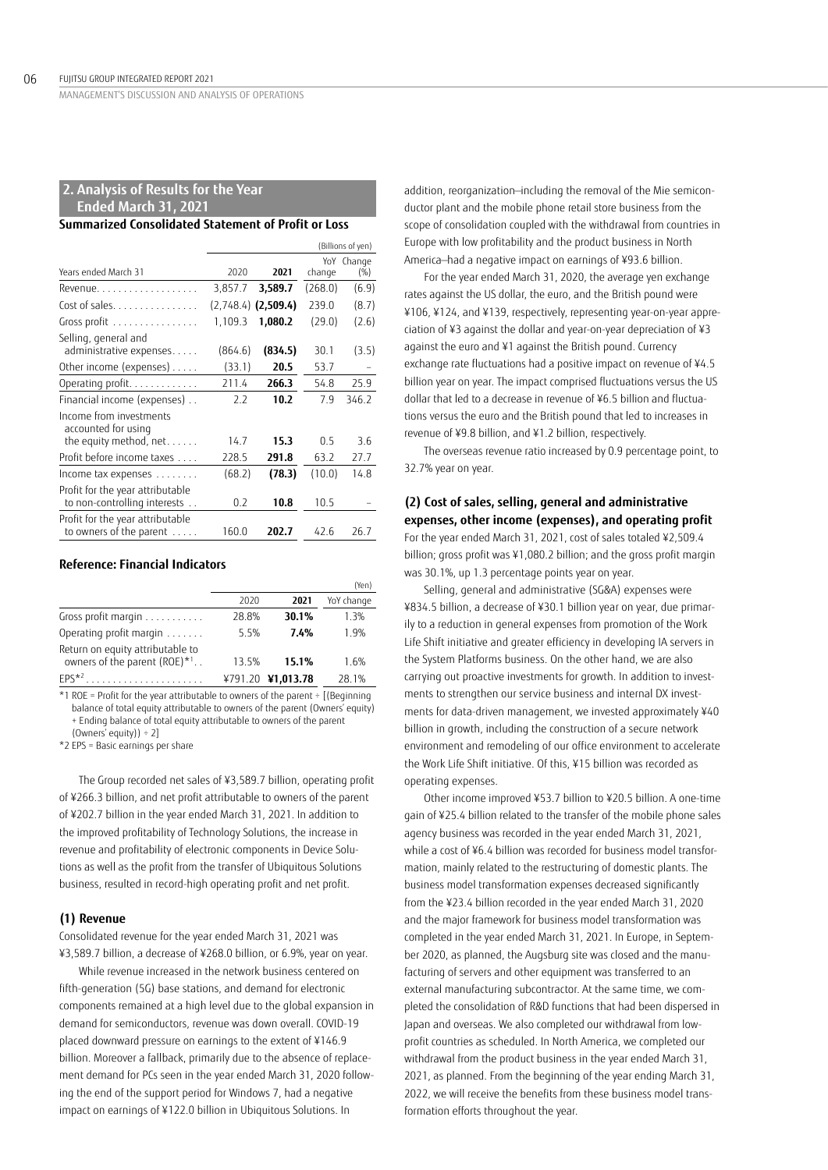MANAGEMENT'S DISCUSSION AND ANALYSIS OF OPERATIONS

### **2. Analysis of Results for the Year Ended March 31, 2021**

#### **Summarized Consolidated Statement of Profit or Loss**

|                                                                  |         |                       |         | (Billions of yen) |
|------------------------------------------------------------------|---------|-----------------------|---------|-------------------|
| Years ended March 31                                             | 2020    | 2021                  | change  | YoY Change<br>(%) |
| Revenue.                                                         | 3,857.7 | 3,589.7               | (268.0) | (6.9)             |
| Cost of sales.                                                   |         | $(2,748.4)$ (2,509.4) | 239.0   | (8.7)             |
| Gross profit                                                     | 1,109.3 | 1,080.2               | (29.0)  | (2.6)             |
| Selling, general and<br>administrative expenses.                 | (864.6) | (834.5)               | 30.1    | (3.5)             |
| Other income (expenses)                                          | (33.1)  | 20.5                  | 53.7    |                   |
| Operating profit.                                                | 211.4   | 266.3                 | 54.8    | 25.9              |
| Financial income (expenses)                                      | 2.2     | 10.2                  | 7.9     | 346.2             |
| Income from investments<br>accounted for using                   |         |                       |         |                   |
| the equity method, net                                           | 14.7    | 15.3                  | 0.5     | 3.6               |
| Profit before income taxes                                       | 228.5   | 291.8                 | 63.2    | 27.7              |
| Income tax expenses                                              | (68.2)  | (78.3)                | (10.0)  | 14.8              |
| Profit for the year attributable<br>to non-controlling interests | 0.2     | 10.8                  | 10.5    |                   |
| Profit for the year attributable<br>to owners of the parent      | 160.0   | 202.7                 | 42.6    | 26.7              |

#### **Reference: Financial Indicators**

|                                                                              |       |                   | (Yen)      |
|------------------------------------------------------------------------------|-------|-------------------|------------|
|                                                                              | 2020  | 2021              | YoY change |
| Gross profit margin                                                          | 28.8% | 30.1%             | 1.3%       |
| Operating profit margin                                                      | 5.5%  | 7.4%              | 1.9%       |
| Return on equity attributable to<br>owners of the parent (ROE)* <sup>1</sup> | 13.5% | 15.1%             | 1.6%       |
| $FPS*2$<br>.                                                                 |       | ¥791.20 ¥1,013.78 | 28.1%      |

 $*1$  ROE = Profit for the year attributable to owners of the parent  $\div$  [(Beginning balance of total equity attributable to owners of the parent (Owners' equity) + Ending balance of total equity attributable to owners of the parent (Owners' equity)) ÷ 2]

\*2 EPS = Basic earnings per share

The Group recorded net sales of ¥3,589.7 billion, operating profit of ¥266.3 billion, and net profit attributable to owners of the parent of ¥202.7 billion in the year ended March 31, 2021. In addition to the improved profitability of Technology Solutions, the increase in revenue and profitability of electronic components in Device Solutions as well as the profit from the transfer of Ubiquitous Solutions business, resulted in record-high operating profit and net profit.

#### **(1) Revenue**

Consolidated revenue for the year ended March 31, 2021 was ¥3,589.7 billion, a decrease of ¥268.0 billion, or 6.9%, year on year.

While revenue increased in the network business centered on fifth-generation (5G) base stations, and demand for electronic components remained at a high level due to the global expansion in demand for semiconductors, revenue was down overall. COVID-19 placed downward pressure on earnings to the extent of ¥146.9 billion. Moreover a fallback, primarily due to the absence of replacement demand for PCs seen in the year ended March 31, 2020 following the end of the support period for Windows 7, had a negative impact on earnings of ¥122.0 billion in Ubiquitous Solutions. In

addition, reorganization—including the removal of the Mie semiconductor plant and the mobile phone retail store business from the scope of consolidation coupled with the withdrawal from countries in Europe with low profitability and the product business in North America—had a negative impact on earnings of ¥93.6 billion.

For the year ended March 31, 2020, the average yen exchange rates against the US dollar, the euro, and the British pound were ¥106, ¥124, and ¥139, respectively, representing year-on-year appreciation of ¥3 against the dollar and year-on-year depreciation of ¥3 against the euro and ¥1 against the British pound. Currency exchange rate fluctuations had a positive impact on revenue of ¥4.5 billion year on year. The impact comprised fluctuations versus the US dollar that led to a decrease in revenue of ¥6.5 billion and fluctuations versus the euro and the British pound that led to increases in revenue of ¥9.8 billion, and ¥1.2 billion, respectively.

The overseas revenue ratio increased by 0.9 percentage point, to 32.7% year on year.

### **(2) Cost of sales, selling, general and administrative expenses, other income (expenses), and operating profit** For the year ended March 31, 2021, cost of sales totaled ¥2,509.4

billion; gross profit was ¥1,080.2 billion; and the gross profit margin was 30.1%, up 1.3 percentage points year on year.

Selling, general and administrative (SG&A) expenses were ¥834.5 billion, a decrease of ¥30.1 billion year on year, due primarily to a reduction in general expenses from promotion of the Work Life Shift initiative and greater efficiency in developing IA servers in the System Platforms business. On the other hand, we are also carrying out proactive investments for growth. In addition to investments to strengthen our service business and internal DX investments for data-driven management, we invested approximately ¥40 billion in growth, including the construction of a secure network environment and remodeling of our office environment to accelerate the Work Life Shift initiative. Of this, ¥15 billion was recorded as operating expenses.

Other income improved ¥53.7 billion to ¥20.5 billion. A one-time gain of ¥25.4 billion related to the transfer of the mobile phone sales agency business was recorded in the year ended March 31, 2021, while a cost of ¥6.4 billion was recorded for business model transformation, mainly related to the restructuring of domestic plants. The business model transformation expenses decreased significantly from the ¥23.4 billion recorded in the year ended March 31, 2020 and the major framework for business model transformation was completed in the year ended March 31, 2021. In Europe, in September 2020, as planned, the Augsburg site was closed and the manufacturing of servers and other equipment was transferred to an external manufacturing subcontractor. At the same time, we completed the consolidation of R&D functions that had been dispersed in Japan and overseas. We also completed our withdrawal from lowprofit countries as scheduled. In North America, we completed our withdrawal from the product business in the year ended March 31, 2021, as planned. From the beginning of the year ending March 31, 2022, we will receive the benefits from these business model transformation efforts throughout the year.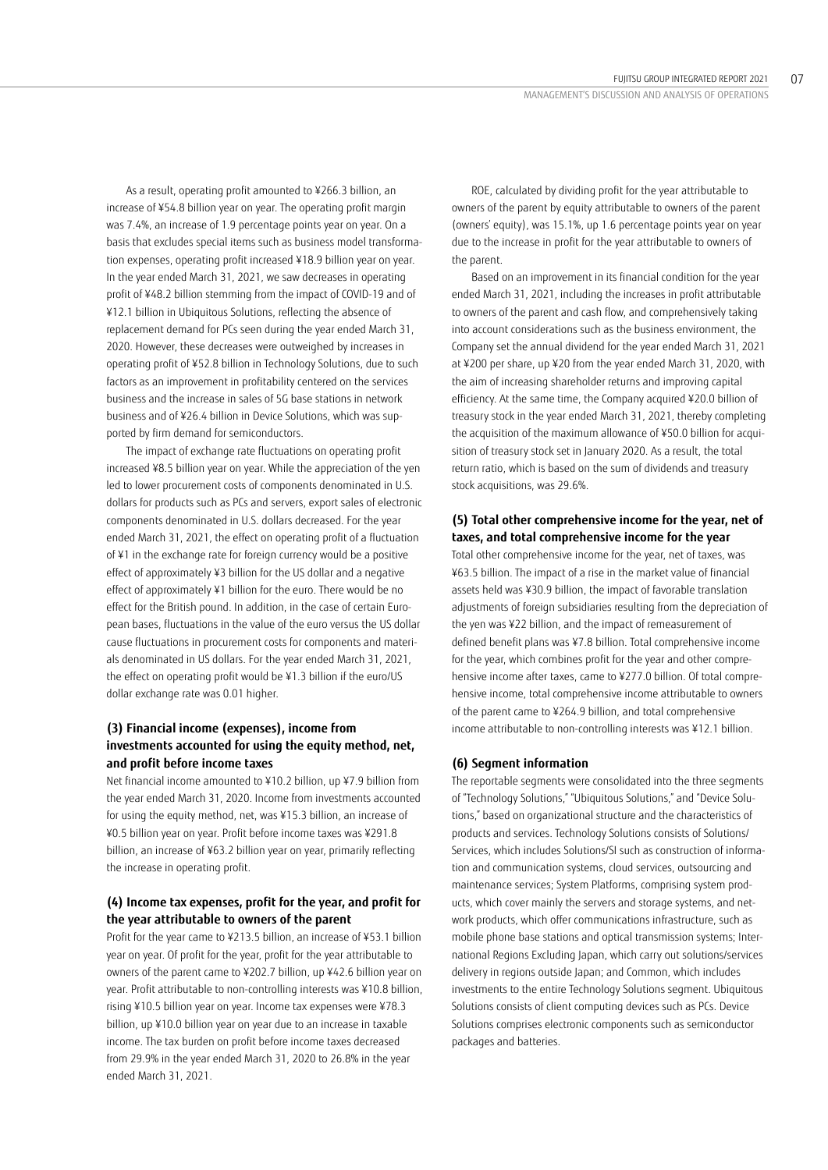As a result, operating profit amounted to ¥266.3 billion, an increase of ¥54.8 billion year on year. The operating profit margin was 7.4%, an increase of 1.9 percentage points year on year. On a basis that excludes special items such as business model transformation expenses, operating profit increased ¥18.9 billion year on year. In the year ended March 31, 2021, we saw decreases in operating profit of ¥48.2 billion stemming from the impact of COVID-19 and of ¥12.1 billion in Ubiquitous Solutions, reflecting the absence of replacement demand for PCs seen during the year ended March 31, 2020. However, these decreases were outweighed by increases in operating profit of ¥52.8 billion in Technology Solutions, due to such factors as an improvement in profitability centered on the services business and the increase in sales of 5G base stations in network business and of ¥26.4 billion in Device Solutions, which was supported by firm demand for semiconductors.

The impact of exchange rate fluctuations on operating profit increased ¥8.5 billion year on year. While the appreciation of the yen led to lower procurement costs of components denominated in U.S. dollars for products such as PCs and servers, export sales of electronic components denominated in U.S. dollars decreased. For the year ended March 31, 2021, the effect on operating profit of a fluctuation of ¥1 in the exchange rate for foreign currency would be a positive effect of approximately ¥3 billion for the US dollar and a negative effect of approximately ¥1 billion for the euro. There would be no effect for the British pound. In addition, in the case of certain European bases, fluctuations in the value of the euro versus the US dollar cause fluctuations in procurement costs for components and materials denominated in US dollars. For the year ended March 31, 2021, the effect on operating profit would be ¥1.3 billion if the euro/US dollar exchange rate was 0.01 higher.

# **(3) Financial income (expenses), income from investments accounted for using the equity method, net, and profit before income taxes**

Net financial income amounted to ¥10.2 billion, up ¥7.9 billion from the year ended March 31, 2020. Income from investments accounted for using the equity method, net, was ¥15.3 billion, an increase of ¥0.5 billion year on year. Profit before income taxes was ¥291.8 billion, an increase of ¥63.2 billion year on year, primarily reflecting the increase in operating profit.

### **(4) Income tax expenses, profit for the year, and profit for the year attributable to owners of the parent**

Profit for the year came to ¥213.5 billion, an increase of ¥53.1 billion year on year. Of profit for the year, profit for the year attributable to owners of the parent came to ¥202.7 billion, up ¥42.6 billion year on year. Profit attributable to non-controlling interests was ¥10.8 billion, rising ¥10.5 billion year on year. Income tax expenses were ¥78.3 billion, up ¥10.0 billion year on year due to an increase in taxable income. The tax burden on profit before income taxes decreased from 29.9% in the year ended March 31, 2020 to 26.8% in the year ended March 31, 2021.

ROE, calculated by dividing profit for the year attributable to owners of the parent by equity attributable to owners of the parent (owners' equity), was 15.1%, up 1.6 percentage points year on year due to the increase in profit for the year attributable to owners of the parent.

Based on an improvement in its financial condition for the year ended March 31, 2021, including the increases in profit attributable to owners of the parent and cash flow, and comprehensively taking into account considerations such as the business environment, the Company set the annual dividend for the year ended March 31, 2021 at ¥200 per share, up ¥20 from the year ended March 31, 2020, with the aim of increasing shareholder returns and improving capital efficiency. At the same time, the Company acquired ¥20.0 billion of treasury stock in the year ended March 31, 2021, thereby completing the acquisition of the maximum allowance of ¥50.0 billion for acquisition of treasury stock set in January 2020. As a result, the total return ratio, which is based on the sum of dividends and treasury stock acquisitions, was 29.6%.

# **(5) Total other comprehensive income for the year, net of taxes, and total comprehensive income for the year**

Total other comprehensive income for the year, net of taxes, was ¥63.5 billion. The impact of a rise in the market value of financial assets held was ¥30.9 billion, the impact of favorable translation adjustments of foreign subsidiaries resulting from the depreciation of the yen was ¥22 billion, and the impact of remeasurement of defined benefit plans was ¥7.8 billion. Total comprehensive income for the year, which combines profit for the year and other comprehensive income after taxes, came to ¥277.0 billion. Of total comprehensive income, total comprehensive income attributable to owners of the parent came to ¥264.9 billion, and total comprehensive income attributable to non-controlling interests was ¥12.1 billion.

### **(6) Segment information**

The reportable segments were consolidated into the three segments of "Technology Solutions," "Ubiquitous Solutions," and "Device Solutions," based on organizational structure and the characteristics of products and services. Technology Solutions consists of Solutions/ Services, which includes Solutions/SI such as construction of information and communication systems, cloud services, outsourcing and maintenance services; System Platforms, comprising system products, which cover mainly the servers and storage systems, and network products, which offer communications infrastructure, such as mobile phone base stations and optical transmission systems; International Regions Excluding Japan, which carry out solutions/services delivery in regions outside Japan; and Common, which includes investments to the entire Technology Solutions segment. Ubiquitous Solutions consists of client computing devices such as PCs. Device Solutions comprises electronic components such as semiconductor packages and batteries.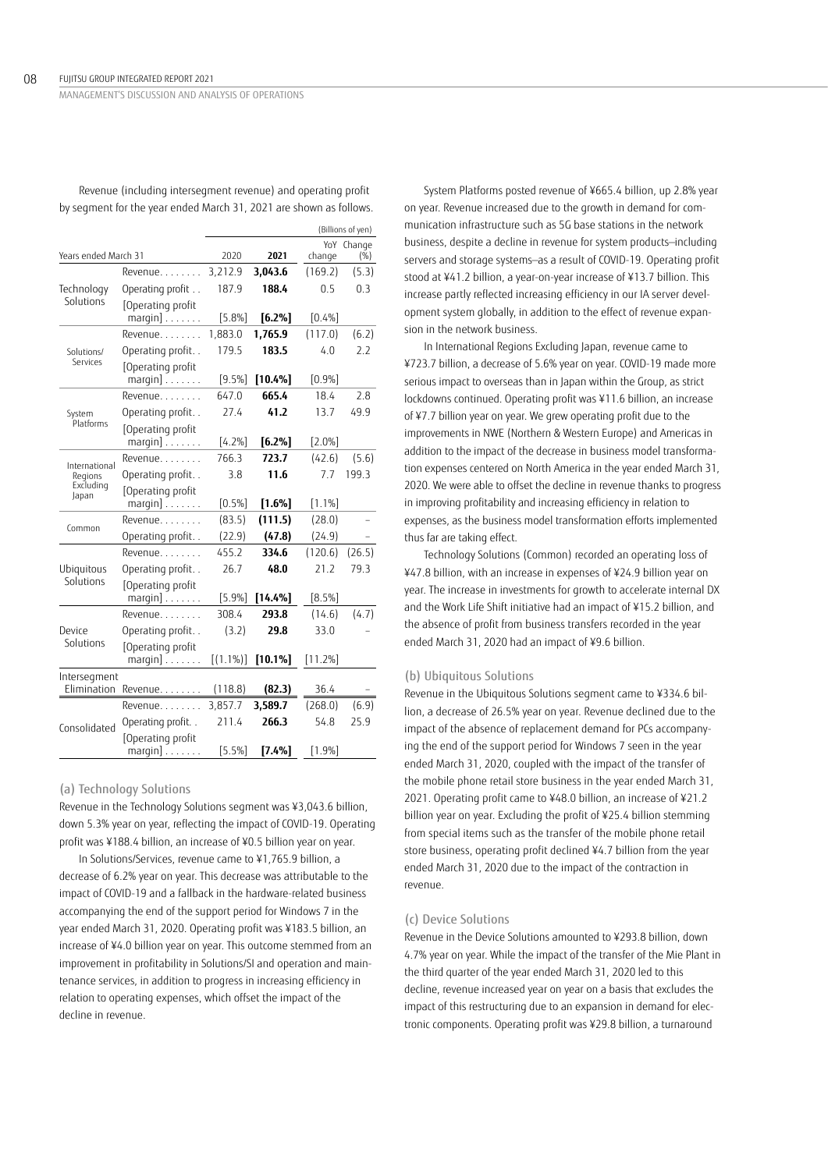MANAGEMENT'S DISCUSSION AND ANALYSIS OF OPERATIONS

Revenue (including intersegment revenue) and operating profit by segment for the year ended March 31, 2021 are shown as follows.

|                      |                                             |             |            |                                                                                                                                                                                                                         | (Billions of yen) |
|----------------------|---------------------------------------------|-------------|------------|-------------------------------------------------------------------------------------------------------------------------------------------------------------------------------------------------------------------------|-------------------|
|                      |                                             |             |            |                                                                                                                                                                                                                         | YoY Change        |
| Years ended March 31 |                                             | 2020        | 2021       |                                                                                                                                                                                                                         | (% )              |
|                      | Revenue.                                    | 3,212.9     | 3,043.6    | (169.2)                                                                                                                                                                                                                 | (5.3)             |
| Technology           | Operating profit                            | 187.9       | 188.4      | 0.5                                                                                                                                                                                                                     | 0.3               |
| Solutions            | [Operating profit                           |             |            |                                                                                                                                                                                                                         |                   |
|                      | $margin] \ldots \ldots$                     | [5.8%]      | [6.2%]     | change<br>[0.4%]<br>(117.0)<br>4.0<br>[0.9%]<br>18.4<br>13.7<br>$[2.0\%]$<br>(42.6)<br>7.7<br>[1.1%]<br>(28.0)<br>(24.9)<br>(120.6)<br>21.2<br>[8.5%]<br>(14.6)<br>33.0<br>[11.2%]<br>36.4<br>(268.0)<br>54.8<br>[1.9%] |                   |
|                      | Revenue.                                    | 1,883.0     | 1,765.9    |                                                                                                                                                                                                                         | (6.2)             |
| Solutions/           | Operating profit                            | 179.5       | 183.5      |                                                                                                                                                                                                                         | 2.2               |
| Services             | [Operating profit                           |             |            |                                                                                                                                                                                                                         |                   |
|                      | $margin] \ldots \ldots$                     | [9.5%]      | [10.4%]    |                                                                                                                                                                                                                         |                   |
|                      | Revenue.                                    | 647.0       | 665.4      |                                                                                                                                                                                                                         | 2.8               |
| System               | Operating profit                            | 27.4        | 41.2       |                                                                                                                                                                                                                         | 49.9              |
| Platforms            | Operating profit                            |             |            |                                                                                                                                                                                                                         |                   |
|                      | $margin] \ldots \ldots$                     | [4.2%]      | [6.2%]     |                                                                                                                                                                                                                         |                   |
| International        | Revenue.                                    | 766.3       | 723.7      |                                                                                                                                                                                                                         | (5.6)             |
| Regions              | Operating profit                            | 3.8         | 11.6       |                                                                                                                                                                                                                         | 199.3             |
| Excluding<br>Japan   | [Operating profit                           |             |            |                                                                                                                                                                                                                         |                   |
|                      | $margin] \ldots \ldots$                     | [0.5%]      | [1.6%]     |                                                                                                                                                                                                                         |                   |
| Common               | Revenue.                                    | (83.5)      | (111.5)    |                                                                                                                                                                                                                         |                   |
|                      | Operating profit                            | (22.9)      | (47.8)     |                                                                                                                                                                                                                         |                   |
|                      | Revenue                                     | 455.2       | 334.6      |                                                                                                                                                                                                                         | (26.5)            |
| Ubiquitous           | Operating profit                            | 26.7        | 48.0       |                                                                                                                                                                                                                         | 79.3              |
| Solutions            | [Operating profit                           |             |            |                                                                                                                                                                                                                         |                   |
|                      | $margin] \ldots \ldots$                     | [5.9%]      | [14.4%]    |                                                                                                                                                                                                                         |                   |
|                      | Revenue                                     | 308.4       | 293.8      |                                                                                                                                                                                                                         | (4.7)             |
| Device               | Operating profit                            | (3.2)       | 29.8       |                                                                                                                                                                                                                         |                   |
| Solutions            | [Operating profit                           |             |            |                                                                                                                                                                                                                         |                   |
|                      | $margin] \ldots \ldots$                     | $[(1.1\%)]$ | $[10.1\%]$ |                                                                                                                                                                                                                         |                   |
| Intersegment         |                                             |             |            |                                                                                                                                                                                                                         |                   |
| Elimination          | Revenue                                     | (118.8)     | (82.3)     |                                                                                                                                                                                                                         |                   |
|                      | Revenue.                                    | 3,857.7     | 3,589.7    |                                                                                                                                                                                                                         | (6.9)             |
| Consolidated         | Operating profit                            | 211.4       | 266.3      |                                                                                                                                                                                                                         | 25.9              |
|                      | Operating profit<br>$margin] \ldots \ldots$ | [5.5%]      | [7.4%]     |                                                                                                                                                                                                                         |                   |

#### (a) Technology Solutions

Revenue in the Technology Solutions segment was ¥3,043.6 billion, down 5.3% year on year, reflecting the impact of COVID-19. Operating profit was ¥188.4 billion, an increase of ¥0.5 billion year on year.

In Solutions/Services, revenue came to ¥1,765.9 billion, a decrease of 6.2% year on year. This decrease was attributable to the impact of COVID-19 and a fallback in the hardware-related business accompanying the end of the support period for Windows 7 in the year ended March 31, 2020. Operating profit was ¥183.5 billion, an increase of ¥4.0 billion year on year. This outcome stemmed from an improvement in profitability in Solutions/SI and operation and maintenance services, in addition to progress in increasing efficiency in relation to operating expenses, which offset the impact of the decline in revenue.

System Platforms posted revenue of ¥665.4 billion, up 2.8% year on year. Revenue increased due to the growth in demand for communication infrastructure such as 5G base stations in the network business, despite a decline in revenue for system products—including servers and storage systems—as a result of COVID-19. Operating profit stood at ¥41.2 billion, a year-on-year increase of ¥13.7 billion. This increase partly reflected increasing efficiency in our IA server development system globally, in addition to the effect of revenue expansion in the network business.

In International Regions Excluding Japan, revenue came to ¥723.7 billion, a decrease of 5.6% year on year. COVID-19 made more serious impact to overseas than in Japan within the Group, as strict lockdowns continued. Operating profit was ¥11.6 billion, an increase of ¥7.7 billion year on year. We grew operating profit due to the improvements in NWE (Northern & Western Europe) and Americas in addition to the impact of the decrease in business model transformation expenses centered on North America in the year ended March 31, 2020. We were able to offset the decline in revenue thanks to progress in improving profitability and increasing efficiency in relation to expenses, as the business model transformation efforts implemented thus far are taking effect.

Technology Solutions (Common) recorded an operating loss of ¥47.8 billion, with an increase in expenses of ¥24.9 billion year on year. The increase in investments for growth to accelerate internal DX and the Work Life Shift initiative had an impact of ¥15.2 billion, and the absence of profit from business transfers recorded in the year ended March 31, 2020 had an impact of ¥9.6 billion.

### (b) Ubiquitous Solutions

Revenue in the Ubiquitous Solutions segment came to ¥334.6 billion, a decrease of 26.5% year on year. Revenue declined due to the impact of the absence of replacement demand for PCs accompanying the end of the support period for Windows 7 seen in the year ended March 31, 2020, coupled with the impact of the transfer of the mobile phone retail store business in the year ended March 31, 2021. Operating profit came to ¥48.0 billion, an increase of ¥21.2 billion year on year. Excluding the profit of ¥25.4 billion stemming from special items such as the transfer of the mobile phone retail store business, operating profit declined ¥4.7 billion from the year ended March 31, 2020 due to the impact of the contraction in revenue.

#### (c) Device Solutions

Revenue in the Device Solutions amounted to ¥293.8 billion, down 4.7% year on year. While the impact of the transfer of the Mie Plant in the third quarter of the year ended March 31, 2020 led to this decline, revenue increased year on year on a basis that excludes the impact of this restructuring due to an expansion in demand for electronic components. Operating profit was ¥29.8 billion, a turnaround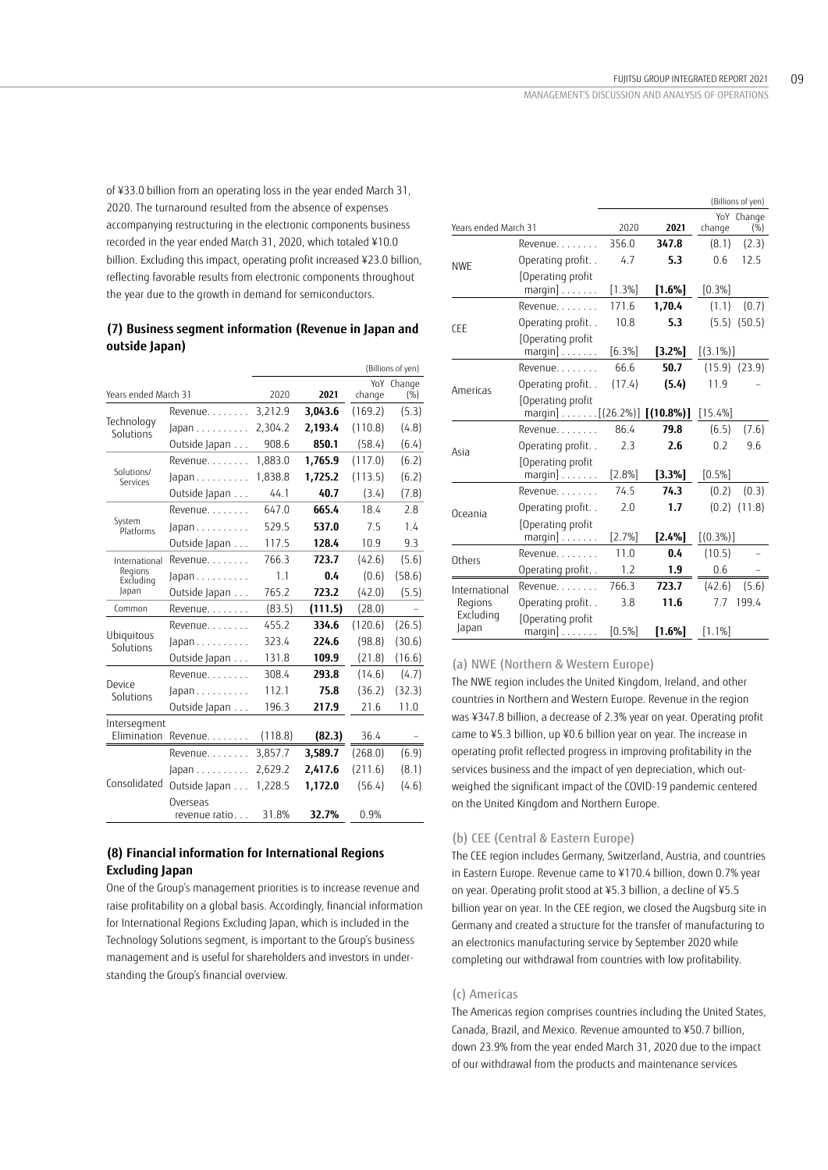of ¥33.0 billion from an operating loss in the year ended March 31, 2020. The turnaround resulted from the absence of expenses accompanying restructuring in the electronic components business recorded in the year ended March 31, 2020, which totaled ¥10.0 billion. Excluding this impact, operating profit increased ¥23.0 billion, reflecting favorable results from electronic components throughout the year due to the growth in demand for semiconductors.

# **(7) Business segment information (Revenue in Japan and outside Japan)**

|                          |                           |         |         |         | (Billions of yen)  |
|--------------------------|---------------------------|---------|---------|---------|--------------------|
| Years ended March 31     |                           | 2020    | 2021    | change  | YoY Change<br>(% ) |
|                          | $Re$ venue                | 3,212.9 | 3,043.6 | (169.2) | (5.3)              |
| Technology<br>Solutions  | Japan                     | 2,304.2 | 2,193.4 | (110.8) | (4.8)              |
|                          | Outside Japan             | 908.6   | 850.1   | (58.4)  | (6.4)              |
|                          | Revenue                   | 1,883.0 | 1,765.9 | (117.0) | (6.2)              |
| Solutions/<br>Services   | Japan                     | 1,838.8 | 1,725.2 | (113.5) | (6.2)              |
|                          | Outside Japan             | 44.1    | 40.7    | (3.4)   | (7.8)              |
|                          | Revenue                   | 647.0   | 665.4   | 18.4    | 2.8                |
| System<br>.<br>Platforms | $Japan \ldots$            | 529.5   | 537.0   | 7.5     | 1.4                |
|                          | Outside Japan             | 117.5   | 128.4   | 10.9    | 9.3                |
| International            | Revenue                   | 766.3   | 723.7   | (42.6)  | (5.6)              |
| Regions<br>Excluding     | Japan                     | 1.1     | 0.4     | (0.6)   | (58.6)             |
| Japan                    | Outside Japan             | 765.2   | 723.2   | (42.0)  | (5.5)              |
| Common                   | Revenue.                  | (83.5)  | (111.5) | (28.0)  |                    |
|                          | Revenue.                  | 455.2   | 334.6   | (120.6) | (26.5)             |
| Ubiquitous<br>Solutions  | Japan                     | 323.4   | 224.6   | (98.8)  | (30.6)             |
|                          | Outside Japan             | 131.8   | 109.9   | (21.8)  | (16.6)             |
|                          | Revenue                   | 308.4   | 293.8   | (14.6)  | (4.7)              |
| Device<br>Solutions      | Japan                     | 112.1   | 75.8    | (36.2)  | (32.3)             |
|                          | Outside Japan             | 196.3   | 217.9   | 21.6    | 11.0               |
| Intersegment             |                           |         |         |         |                    |
| Flimination              | Revenue.                  | (118.8) | (82.3)  | 36.4    |                    |
|                          | Revenue.                  | 3,857.7 | 3,589.7 | (268.0) | (6.9)              |
|                          | Japan                     | 2,629.2 | 2,417.6 | (211.6) | (8.1)              |
| Consolidated             | Outside Japan             | 1,228.5 | 1,172.0 | (56.4)  | (4.6)              |
|                          | Overseas<br>revenue ratio | 31.8%   | 32.7%   | 0.9%    |                    |

### **(8) Financial information for International Regions Excluding Japan**

One of the Group's management priorities is to increase revenue and raise profitability on a global basis. Accordingly, financial information for International Regions Excluding Japan, which is included in the Technology Solutions segment, is important to the Group's business management and is useful for shareholders and investors in understanding the Group's financial overview.

|                      |                                                        |        |           |                 | (Billions of yen) |
|----------------------|--------------------------------------------------------|--------|-----------|-----------------|-------------------|
| Years ended March 31 |                                                        | 2020   | 2021      |                 | YoY Change        |
|                      | Revenue.                                               | 356.0  | 347.8     | change<br>(8.1) | (%)<br>(2.3)      |
|                      |                                                        |        |           |                 |                   |
| <b>NWF</b>           | Operating profit                                       | 4.7    | 5.3       | 0.6             | 12.5              |
|                      | Operating profit<br>$margin] \ldots \ldots$            | [1.3%] | $[1.6\%]$ | [0.3%]          |                   |
|                      | Revenue                                                | 171.6  | 1,70.4    | (1.1)           | (0.7)             |
| <b>CFF</b>           | Operating profit                                       | 10.8   | 5.3       | (5.5)           | (50.5)            |
|                      | Operating profit<br>$margi n] \ldots \ldots$           | [6.3%] | [3.2%]    | $[(3.1\%)]$     |                   |
|                      | Revenue.                                               | 66.6   | 50.7      | (15.9)          | (23.9)            |
|                      | Operating profit                                       | (17.4) | (5.4)     | 11.9            |                   |
| Americas             | Operating profit<br>margin] [(26.2%)] <b>[(10.8%)]</b> |        |           | $[15.4\%]$      |                   |
|                      | Revenue                                                | 86.4   | 79.8      | (6.5)           | (7.6)             |
| Asia                 | Operating profit                                       | 2.3    | 2.6       | 0.2             | 9.6               |
|                      | [Operating profit<br>margin] $\ldots \ldots$           | [2.8%] | [3.3%]    | [0.5%]          |                   |
|                      | Revenue                                                | 74.5   | 74.3      | (0.2)           | (0.3)             |
| Oceania              | Operating profit                                       | 2.0    | 1.7       | (0.2)           | (11.8)            |
|                      | Operating profit<br>$margin] \ldots \ldots$            | [2.7%] | $[2.4%]$  | $[(0.3\%)]$     |                   |
| Others               | Revenue                                                | 11.0   | 0.4       | (10.5)          |                   |
|                      | Operating profit                                       | 1.2    | 1.9       | 0.6             |                   |
| International        | Revenue                                                | 766.3  | 723.7     | (42.6)          | (5.6)             |
| Regions              | Operating profit                                       | 3.8    | 11.6      | 77              | 199.4             |
| Excluding<br>Japan   | Operating profit<br>$margin] \ldots \ldots$            | [0.5%] | $[1.6\%]$ | $[1.1\%]$       |                   |

### (a) NWE (Northern & Western Europe)

The NWE region includes the United Kingdom, Ireland, and other countries in Northern and Western Europe. Revenue in the region was ¥347.8 billion, a decrease of 2.3% year on year. Operating profit came to ¥5.3 billion, up ¥0.6 billion year on year. The increase in operating profit reflected progress in improving profitability in the services business and the impact of yen depreciation, which outweighed the significant impact of the COVID-19 pandemic centered on the United Kingdom and Northern Europe.

#### (b) CEE (Central & Eastern Europe)

The CEE region includes Germany, Switzerland, Austria, and countries in Eastern Europe. Revenue came to ¥170.4 billion, down 0.7% year on year. Operating profit stood at ¥5.3 billion, a decline of ¥5.5 billion year on year. In the CEE region, we closed the Augsburg site in Germany and created a structure for the transfer of manufacturing to an electronics manufacturing service by September 2020 while completing our withdrawal from countries with low profitability.

#### (c) Americas

The Americas region comprises countries including the United States, Canada, Brazil, and Mexico. Revenue amounted to ¥50.7 billion, down 23.9% from the year ended March 31, 2020 due to the impact of our withdrawal from the products and maintenance services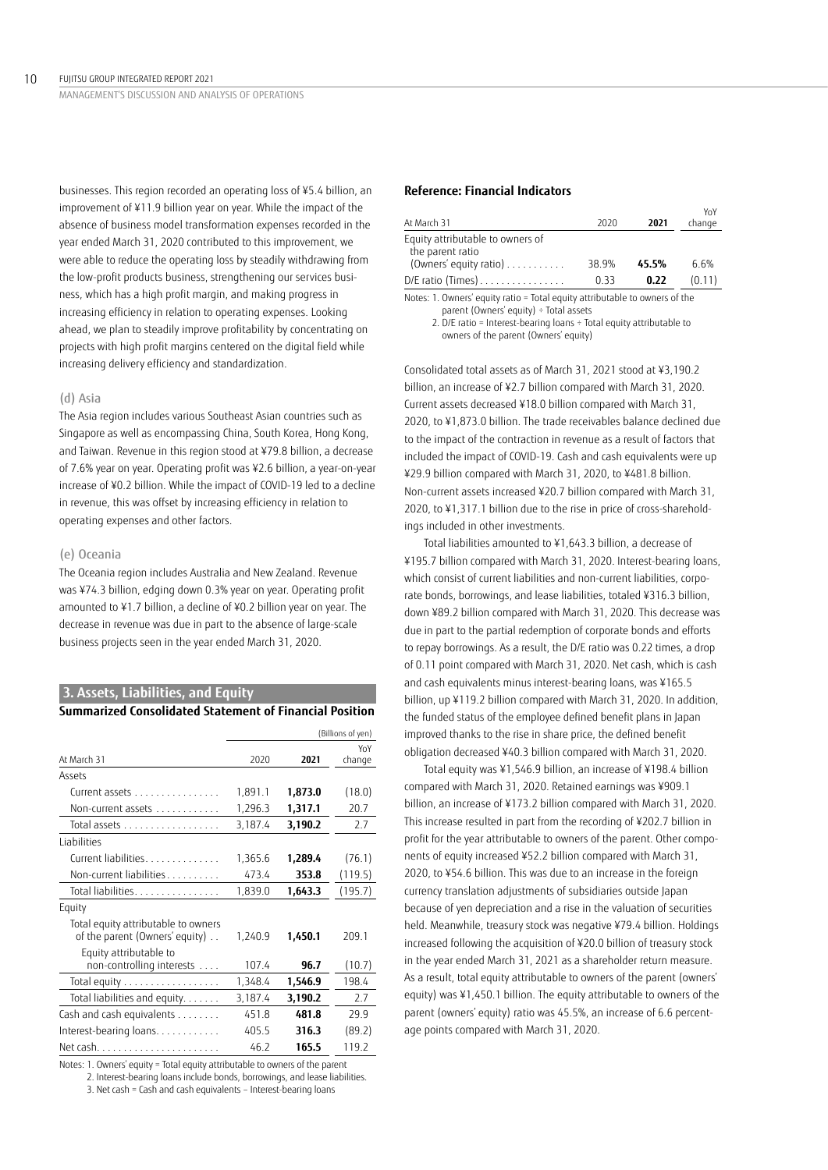MANAGEMENT'S DISCUSSION AND ANALYSIS OF OPERATIONS

businesses. This region recorded an operating loss of ¥5.4 billion, an improvement of ¥11.9 billion year on year. While the impact of the absence of business model transformation expenses recorded in the year ended March 31, 2020 contributed to this improvement, we were able to reduce the operating loss by steadily withdrawing from the low-profit products business, strengthening our services business, which has a high profit margin, and making progress in increasing efficiency in relation to operating expenses. Looking ahead, we plan to steadily improve profitability by concentrating on projects with high profit margins centered on the digital field while increasing delivery efficiency and standardization.

### (d) Asia

The Asia region includes various Southeast Asian countries such as Singapore as well as encompassing China, South Korea, Hong Kong, and Taiwan. Revenue in this region stood at ¥79.8 billion, a decrease of 7.6% year on year. Operating profit was ¥2.6 billion, a year-on-year increase of ¥0.2 billion. While the impact of COVID-19 led to a decline in revenue, this was offset by increasing efficiency in relation to operating expenses and other factors.

#### (e) Oceania

The Oceania region includes Australia and New Zealand. Revenue was ¥74.3 billion, edging down 0.3% year on year. Operating profit amounted to ¥1.7 billion, a decline of ¥0.2 billion year on year. The decrease in revenue was due in part to the absence of large-scale business projects seen in the year ended March 31, 2020.

# **3. Assets, Liabilities, and Equity**

**Summarized Consolidated Statement of Financial Position**

|                                                                       |         |         | (Billions of yen) |
|-----------------------------------------------------------------------|---------|---------|-------------------|
| At March 31                                                           | 2020    | 2021    | YoY<br>change     |
| Assets                                                                |         |         |                   |
| Current assets                                                        | 1,891.1 | 1,873.0 | (18.0)            |
| Non-current assets                                                    | 1,296.3 | 1,317.1 | 20.7              |
| Total assets                                                          | 3,187.4 | 3,190.2 | 2.7               |
| Liabilities                                                           |         |         |                   |
| Current liabilities                                                   | 1,365.6 | 1,289.4 | (76.1)            |
| Non-current liabilities                                               | 473.4   | 353.8   | (119.5)           |
| Total liabilities.                                                    | 1,839.0 | 1,643.3 | (195.7)           |
| Equity                                                                |         |         |                   |
| Total equity attributable to owners<br>of the parent (Owners' equity) | 1,240.9 | 1,450.1 | 209.1             |
| Equity attributable to<br>non-controlling interests                   | 107.4   | 96.7    | (10.7)            |
| Total equity                                                          | 1,348.4 | 1,546.9 | 198.4             |
| Total liabilities and equity.                                         | 3,187.4 | 3,190.2 | 2.7               |
| Cash and cash equivalents                                             | 451.8   | 481.8   | 29.9              |
| Interest-bearing loans                                                | 405.5   | 316.3   | (89.2)            |
|                                                                       | 46.2    | 165.5   | 119.2             |

Notes: 1. Owners' equity = Total equity attributable to owners of the parent

2. Interest-bearing loans include bonds, borrowings, and lease liabilities.

3. Net cash = Cash and cash equivalents – Interest-bearing loans

#### **Reference: Financial Indicators**

| At March 31                                                                                           | 2020  | 2021  | YoY<br>change |
|-------------------------------------------------------------------------------------------------------|-------|-------|---------------|
| Equity attributable to owners of<br>the parent ratio<br>(Owners' equity ratio) $\ldots \ldots \ldots$ | 38.9% | 45.5% | 6.6%          |
| D/E ratio (Times)                                                                                     | 0.33  | 0.22  | (0.11)        |
|                                                                                                       |       |       |               |

Notes: 1. Owners' equity ratio = Total equity attributable to owners of the parent (Owners' equity) ÷ Total assets

2. D/E ratio = Interest-bearing loans ÷ Total equity attributable to owners of the parent (Owners' equity)

Consolidated total assets as of March 31, 2021 stood at ¥3,190.2 billion, an increase of ¥2.7 billion compared with March 31, 2020. Current assets decreased ¥18.0 billion compared with March 31, 2020, to ¥1,873.0 billion. The trade receivables balance declined due to the impact of the contraction in revenue as a result of factors that included the impact of COVID-19. Cash and cash equivalents were up ¥29.9 billion compared with March 31, 2020, to ¥481.8 billion. Non-current assets increased ¥20.7 billion compared with March 31, 2020, to ¥1,317.1 billion due to the rise in price of cross-shareholdings included in other investments.

Total liabilities amounted to ¥1,643.3 billion, a decrease of ¥195.7 billion compared with March 31, 2020. Interest-bearing loans, which consist of current liabilities and non-current liabilities, corporate bonds, borrowings, and lease liabilities, totaled ¥316.3 billion, down ¥89.2 billion compared with March 31, 2020. This decrease was due in part to the partial redemption of corporate bonds and efforts to repay borrowings. As a result, the D/E ratio was 0.22 times, a drop of 0.11 point compared with March 31, 2020. Net cash, which is cash and cash equivalents minus interest-bearing loans, was ¥165.5 billion, up ¥119.2 billion compared with March 31, 2020. In addition, the funded status of the employee defined benefit plans in Japan improved thanks to the rise in share price, the defined benefit obligation decreased ¥40.3 billion compared with March 31, 2020.

Total equity was ¥1,546.9 billion, an increase of ¥198.4 billion compared with March 31, 2020. Retained earnings was ¥909.1 billion, an increase of ¥173.2 billion compared with March 31, 2020. This increase resulted in part from the recording of ¥202.7 billion in profit for the year attributable to owners of the parent. Other components of equity increased ¥52.2 billion compared with March 31, 2020, to ¥54.6 billion. This was due to an increase in the foreign currency translation adjustments of subsidiaries outside Japan because of yen depreciation and a rise in the valuation of securities held. Meanwhile, treasury stock was negative ¥79.4 billion. Holdings increased following the acquisition of ¥20.0 billion of treasury stock in the year ended March 31, 2021 as a shareholder return measure. As a result, total equity attributable to owners of the parent (owners' equity) was ¥1,450.1 billion. The equity attributable to owners of the parent (owners' equity) ratio was 45.5%, an increase of 6.6 percentage points compared with March 31, 2020.